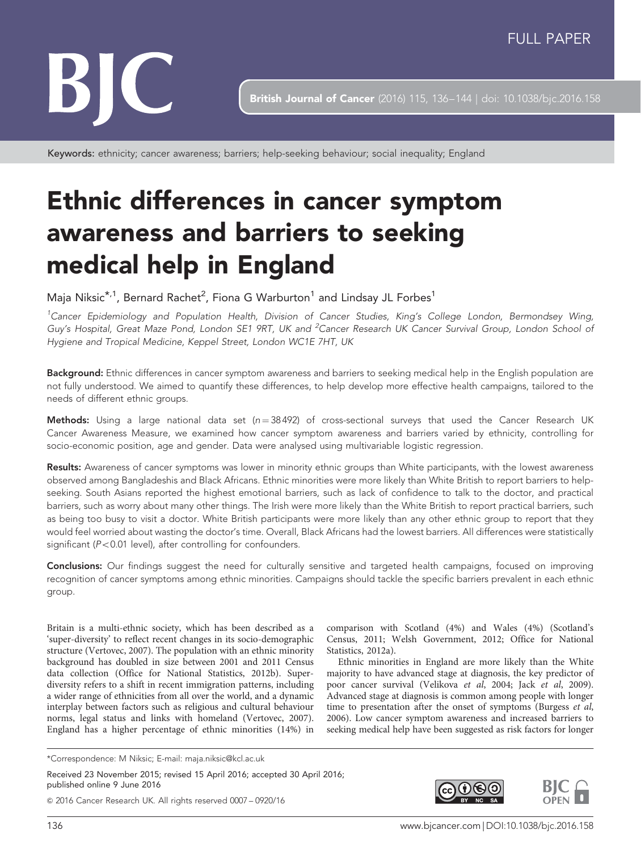

British Journal of Cancer (2016) 115, 136-144 | doi: 10.1038/bjc.2016.158

Keywords: ethnicity; cancer awareness; barriers; help-seeking behaviour; social inequality; England

# Ethnic differences in cancer symptom awareness and barriers to seeking medical help in England

Maja Niksic $^{\star,1}$ , Bernard Rachet $^2$ , Fiona G Warburton $^1$  and Lindsay JL Forbes $^1$ 

<sup>1</sup>Cancer Epidemiology and Population Health, Division of Cancer Studies, King's College London, Bermondsey Wing, Guy's Hospital, Great Maze Pond, London SE1 9RT, UK and <sup>2</sup>Cancer Research UK Cancer Survival Group, London School oi Hygiene and Tropical Medicine, Keppel Street, London WC1E 7HT, UK

Background: Ethnic differences in cancer symptom awareness and barriers to seeking medical help in the English population are not fully understood. We aimed to quantify these differences, to help develop more effective health campaigns, tailored to the needs of different ethnic groups.

Methods: Using a large national data set ( $n = 38492$ ) of cross-sectional surveys that used the Cancer Research UK Cancer Awareness Measure, we examined how cancer symptom awareness and barriers varied by ethnicity, controlling for socio-economic position, age and gender. Data were analysed using multivariable logistic regression.

Results: Awareness of cancer symptoms was lower in minority ethnic groups than White participants, with the lowest awareness observed among Bangladeshis and Black Africans. Ethnic minorities were more likely than White British to report barriers to helpseeking. South Asians reported the highest emotional barriers, such as lack of confidence to talk to the doctor, and practical barriers, such as worry about many other things. The Irish were more likely than the White British to report practical barriers, such as being too busy to visit a doctor. White British participants were more likely than any other ethnic group to report that they would feel worried about wasting the doctor's time. Overall, Black Africans had the lowest barriers. All differences were statistically significant ( $P < 0.01$  level), after controlling for confounders.

Conclusions: Our findings suggest the need for culturally sensitive and targeted health campaigns, focused on improving recognition of cancer symptoms among ethnic minorities. Campaigns should tackle the specific barriers prevalent in each ethnic group.

Britain is a multi-ethnic society, which has been described as a 'super-diversity' to reflect recent changes in its socio-demographic structure [\(Vertovec, 2007](#page-8-0)). The population with an ethnic minority background has doubled in size between 2001 and 2011 Census data collection [\(Office for National Statistics, 2012b\)](#page-7-0). Superdiversity refers to a shift in recent immigration patterns, including a wider range of ethnicities from all over the world, and a dynamic interplay between factors such as religious and cultural behaviour norms, legal status and links with homeland ([Vertovec, 2007](#page-8-0)). England has a higher percentage of ethnic minorities (14%) in

\*Correspondence: M Niksic; E-mail: [maja.niksic@kcl.ac.uk](mailto:maja.niksic@kcl.ac.uk)

Received 23 November 2015; revised 15 April 2016; accepted 30 April 2016; published online 9 June 2016

& 2016 Cancer Research UK. All rights reserved 0007 – 0920/16

comparison with Scotland (4%) and Wales (4%) [\(Scotland's](#page-7-0) [Census, 2011;](#page-7-0) [Welsh Government, 2012](#page-8-0); [Office for National](#page-7-0) [Statistics, 2012a\)](#page-7-0).

Ethnic minorities in England are more likely than the White majority to have advanced stage at diagnosis, the key predictor of poor cancer survival [\(Velikova](#page-8-0) et al, 2004; Jack et al[, 2009](#page-7-0)). Advanced stage at diagnosis is common among people with longer time to presentation after the onset of symptoms [\(Burgess](#page-7-0) et al, [2006](#page-7-0)). Low cancer symptom awareness and increased barriers to seeking medical help have been suggested as risk factors for longer

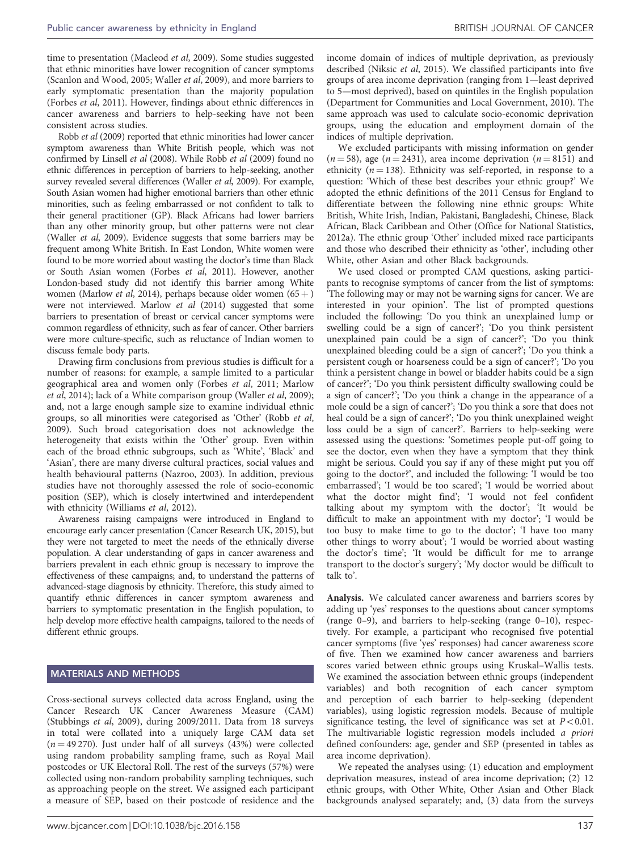time to presentation ([Macleod](#page-7-0) et al, 2009). Some studies suggested that ethnic minorities have lower recognition of cancer symptoms ([Scanlon and Wood, 2005](#page-7-0); [Waller](#page-8-0) et al, 2009), and more barriers to early symptomatic presentation than the majority population ([Forbes](#page-7-0) et al, 2011). However, findings about ethnic differences in cancer awareness and barriers to help-seeking have not been consistent across studies.

Robb et al [\(2009\)](#page-7-0) reported that ethnic minorities had lower cancer symptom awareness than White British people, which was not confirmed by [Linsell](#page-7-0) et al (2008). While Robb et al [\(2009\)](#page-7-0) found no ethnic differences in perception of barriers to help-seeking, another survey revealed several differences ([Waller](#page-8-0) et al, 2009). For example, South Asian women had higher emotional barriers than other ethnic minorities, such as feeling embarrassed or not confident to talk to their general practitioner (GP). Black Africans had lower barriers than any other minority group, but other patterns were not clear ([Waller](#page-8-0) et al, 2009). Evidence suggests that some barriers may be frequent among White British. In East London, White women were found to be more worried about wasting the doctor's time than Black or South Asian women [\(Forbes](#page-7-0) et al, 2011). However, another London-based study did not identify this barrier among White women [\(Marlow](#page-7-0) *et al*, 2014), perhaps because older women  $(65 +)$ were not interviewed. [Marlow](#page-7-0) et al (2014) suggested that some barriers to presentation of breast or cervical cancer symptoms were common regardless of ethnicity, such as fear of cancer. Other barriers were more culture-specific, such as reluctance of Indian women to discuss female body parts.

Drawing firm conclusions from previous studies is difficult for a number of reasons: for example, a sample limited to a particular geographical area and women only ([Forbes](#page-7-0) et al, 2011; [Marlow](#page-7-0) et al[, 2014](#page-7-0)); lack of a White comparison group [\(Waller](#page-8-0) et al, 2009); and, not a large enough sample size to examine individual ethnic groups, so all minorities were categorised as 'Other' ([Robb](#page-7-0) et al, [2009](#page-7-0)). Such broad categorisation does not acknowledge the heterogeneity that exists within the 'Other' group. Even within each of the broad ethnic subgroups, such as 'White', 'Black' and 'Asian', there are many diverse cultural practices, social values and health behavioural patterns [\(Nazroo, 2003\)](#page-7-0). In addition, previous studies have not thoroughly assessed the role of socio-economic position (SEP), which is closely intertwined and interdependent with ethnicity ([Williams](#page-8-0) et al, 2012).

Awareness raising campaigns were introduced in England to encourage early cancer presentation ([Cancer Research UK, 2015\)](#page-7-0), but they were not targeted to meet the needs of the ethnically diverse population. A clear understanding of gaps in cancer awareness and barriers prevalent in each ethnic group is necessary to improve the effectiveness of these campaigns; and, to understand the patterns of advanced-stage diagnosis by ethnicity. Therefore, this study aimed to quantify ethnic differences in cancer symptom awareness and barriers to symptomatic presentation in the English population, to help develop more effective health campaigns, tailored to the needs of different ethnic groups.

## MATERIALS AND METHODS

Cross-sectional surveys collected data across England, using the Cancer Research UK Cancer Awareness Measure (CAM) ([Stubbings](#page-8-0) et al, 2009), during 2009/2011. Data from 18 surveys in total were collated into a uniquely large CAM data set  $(n = 49270)$ . Just under half of all surveys (43%) were collected using random probability sampling frame, such as Royal Mail postcodes or UK Electoral Roll. The rest of the surveys (57%) were collected using non-random probability sampling techniques, such as approaching people on the street. We assigned each participant a measure of SEP, based on their postcode of residence and the

income domain of indices of multiple deprivation, as previously described [\(Niksic](#page-7-0) et al, 2015). We classified participants into five groups of area income deprivation (ranging from 1—least deprived to 5—most deprived), based on quintiles in the English population ([Department for Communities and Local Government, 2010](#page-7-0)). The same approach was used to calculate socio-economic deprivation groups, using the education and employment domain of the indices of multiple deprivation.

We excluded participants with missing information on gender  $(n = 58)$ , age  $(n = 2431)$ , area income deprivation  $(n = 8151)$  and ethnicity ( $n = 138$ ). Ethnicity was self-reported, in response to a question: 'Which of these best describes your ethnic group?' We adopted the ethnic definitions of the 2011 Census for England to differentiate between the following nine ethnic groups: White British, White Irish, Indian, Pakistani, Bangladeshi, Chinese, Black African, Black Caribbean and Other [\(Office for National Statistics,](#page-7-0) [2012a](#page-7-0)). The ethnic group 'Other' included mixed race participants and those who described their ethnicity as 'other', including other White, other Asian and other Black backgrounds.

We used closed or prompted CAM questions, asking participants to recognise symptoms of cancer from the list of symptoms: 'The following may or may not be warning signs for cancer. We are interested in your opinion'. The list of prompted questions included the following: 'Do you think an unexplained lump or swelling could be a sign of cancer?'; 'Do you think persistent unexplained pain could be a sign of cancer?'; 'Do you think unexplained bleeding could be a sign of cancer?'; 'Do you think a persistent cough or hoarseness could be a sign of cancer?'; 'Do you think a persistent change in bowel or bladder habits could be a sign of cancer?'; 'Do you think persistent difficulty swallowing could be a sign of cancer?'; 'Do you think a change in the appearance of a mole could be a sign of cancer?'; 'Do you think a sore that does not heal could be a sign of cancer?'; 'Do you think unexplained weight loss could be a sign of cancer?'. Barriers to help-seeking were assessed using the questions: 'Sometimes people put-off going to see the doctor, even when they have a symptom that they think might be serious. Could you say if any of these might put you off going to the doctor?', and included the following: 'I would be too embarrassed'; 'I would be too scared'; 'I would be worried about what the doctor might find'; 'I would not feel confident talking about my symptom with the doctor'; 'It would be difficult to make an appointment with my doctor'; 'I would be too busy to make time to go to the doctor'; 'I have too many other things to worry about'; 'I would be worried about wasting the doctor's time'; 'It would be difficult for me to arrange transport to the doctor's surgery'; 'My doctor would be difficult to talk to'.

Analysis. We calculated cancer awareness and barriers scores by adding up 'yes' responses to the questions about cancer symptoms (range 0–9), and barriers to help-seeking (range 0–10), respectively. For example, a participant who recognised five potential cancer symptoms (five 'yes' responses) had cancer awareness score of five. Then we examined how cancer awareness and barriers scores varied between ethnic groups using Kruskal–Wallis tests. We examined the association between ethnic groups (independent variables) and both recognition of each cancer symptom and perception of each barrier to help-seeking (dependent variables), using logistic regression models. Because of multiple significance testing, the level of significance was set at  $P < 0.01$ . The multivariable logistic regression models included a priori defined confounders: age, gender and SEP (presented in tables as area income deprivation).

We repeated the analyses using: (1) education and employment deprivation measures, instead of area income deprivation; (2) 12 ethnic groups, with Other White, Other Asian and Other Black backgrounds analysed separately; and, (3) data from the surveys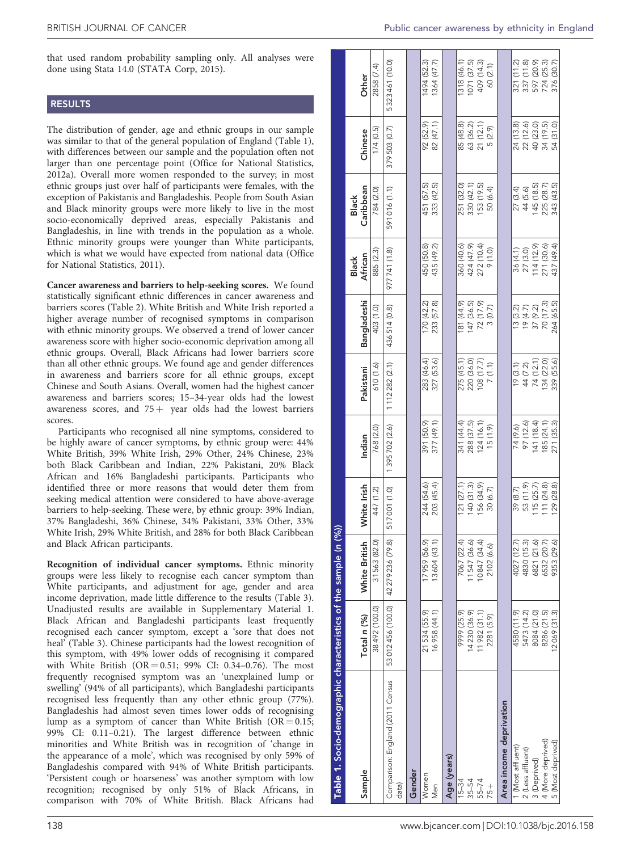### RESULTS

The distribution of gender, age and ethnic groups in our sample was similar to that of the general population of England (Table 1), with differences between our sample and the population often not larger than one percentage point [\(Office for National Statistics,](#page-7-0) [2012a](#page-7-0)). Overall more women responded to the survey; in most ethnic groups just over half of participants were females, with the exception of Pakistanis and Bangladeshis. People from South Asian and Black minority groups were more likely to live in the most socio-economically deprived areas, especially Pakistanis and Bangladeshis, in line with trends in the population as a whole. Ethnic minority groups were younger than White participants, which is what we would have expected from national data [\(Office](#page-7-0) [for National Statistics, 2011\)](#page-7-0).

Cancer awareness and barriers to help-seeking scores. We found statistically significant ethnic differences in cancer awareness and barriers scores [\(Table 2\)](#page-3-0). White British and White Irish reported a higher average number of recognised symptoms in comparison with ethnic minority groups. We observed a trend of lower cancer awareness score with higher socio-economic deprivation among all ethnic groups. Overall, Black Africans had lower barriers score than all other ethnic groups. We found age and gender differences in awareness and barriers score for all ethnic groups, except Chinese and South Asians. Overall, women had the highest cancer awareness and barriers scores; 15–34-year olds had the lowest awareness scores, and  $75 +$  year olds had the lowest barriers scores.

Participants who recognised all nine symptoms, considered to be highly aware of cancer symptoms, by ethnic group were: 44% White British, 39% White Irish, 29% Other, 24% Chinese, 23% both Black Caribbean and Indian, 22% Pakistani, 20% Black African and 16% Bangladeshi participants. Participants who identified three or more reasons that would deter them from seeking medical attention were considered to have above-average barriers to help-seeking. These were, by ethnic group: 39% Indian, 37% Bangladeshi, 36% Chinese, 34% Pakistani, 33% Other, 33% White Irish, 29% White British, and 28% for both Black Caribbean and Black African participants.

Recognition of individual cancer symptoms. Ethnic minority groups were less likely to recognise each cancer symptom than White participants, and adjustment for age, gender and area income deprivation, made little difference to the results [\(Table 3](#page-4-0)). Unadjusted results are available in Supplementary Material 1. Black African and Bangladeshi participants least frequently recognised each cancer symptom, except a 'sore that does not heal' ([Table 3\)](#page-4-0). Chinese participants had the lowest recognition of this symptom, with 49% lower odds of recognising it compared with White British (OR =  $0.51$ ; 99% CI:  $0.34-0.76$ ). The most frequently recognised symptom was an 'unexplained lump or swelling' (94% of all participants), which Bangladeshi participants recognised less frequently than any other ethnic group (77%). Bangladeshis had almost seven times lower odds of recognising lump as a symptom of cancer than White British  $(OR = 0.15;$ 99% CI: 0.11–0.21). The largest difference between ethnic minorities and White British was in recognition of 'change in the appearance of a mole', which was recognised by only 59% of Bangladeshis compared with 94% of White British participants. 'Persistent cough or hoarseness' was another symptom with low recognition; recognised by only 51% of Black Africans, in comparison with 70% of White British. Black Africans had

| Table 1. Socio-demographic characteristics of the sample (n (% |                                  |               |                |               |               |              |                         |                           |              |                |  |
|----------------------------------------------------------------|----------------------------------|---------------|----------------|---------------|---------------|--------------|-------------------------|---------------------------|--------------|----------------|--|
| Sample                                                         | Total n (%)                      | White British | White Irish    | Indian        | Pakistani     | Bangladeshi  | African<br><b>Black</b> | Caribbean<br><b>Black</b> | Chinese      | Other          |  |
|                                                                | 38492 (100.0)                    | 31563 (82.0)  | 447 (1.2)      | 768 (2.0)     | 610 (1.6)     | 403 (1.0)    | 885 (2.3)               | 784 (2.0)                 | 174(0.5)     | 2858 (7.4)     |  |
| Comparison: England (2011 Census<br>data)                      | 53012456 (100.0) 42279236 (79.8) |               | 517001 (1.0)   | 1395702 (2.6) | 1112282 (2.1) | 436514 (0.8) | 977741 (1.8)            | 591016 (1.1)              | 379503 (0.7) | 5323461 (10.0) |  |
| Gender                                                         |                                  |               |                |               |               |              |                         |                           |              |                |  |
| Nomen                                                          | 21534 (55.9)                     | 17959 (56.9)  | 244 (54.6)     | 391 (50.9)    | 283 (46.4)    | 170 (42.2)   | 450 (50.8)              | 451 (57.5)                | 92 (52.9)    | 1494 (52.3)    |  |
| Men                                                            | 16958 (44.1)                     | 13604 (43.1)  | 203 (45.4)     | 377 (49.1)    | 327 (53.6)    | 233 (57.8)   | 435 (49.2)              | 333 (42.5)                | 82 (47.1)    | 1364 (47.7)    |  |
| Age (years)                                                    |                                  |               |                |               |               |              |                         |                           |              |                |  |
| $15 - 34$                                                      | 9999 (25.9)                      | 7067 (22.4)   | $ 21 \t(27.1)$ | 341 (44.4)    | 275 (45.1)    | 81 (44.9)    | 360 (40.6)              | 251 (32.0)                | 85 (48.8)    | 1318 (46.1)    |  |
| $35 - 54$                                                      | 14230 (36.9)                     | 11547(36.6)   | 140(31.3)      | 288 (37.5)    | 220 (36.0)    | 147 (36.5)   | 424 (47.9)              | 330 (42.1)                | 63 (36.2)    | 1071 (37.5)    |  |
| $55 - 74$                                                      | 11982 (31.1)                     | 10847 (34.4)  | 156 (34.9)     | 124(16.1)     | 108 (17.7)    | 72 (17.9)    | 272 (10.4)              | 153 (19.5)                | 21(12.1)     | 409 (14.3)     |  |
| $75 +$                                                         | 2281 (5.9)                       | 2102 (6.6)    | 30 (6.7)       | (15(1.9)      | 7(1.1)        | 3(0.7)       | 9(1.0)                  | 50 (6.4)                  | 5 (2.9)      | 60 (2.1)       |  |
| Area income deprivation                                        |                                  |               |                |               |               |              |                         |                           |              |                |  |
| (Most affluent)                                                | 4580 (11.9)                      | 4027 (12.7)   | 39 (8.7)       | 74 (9.6)      | 19(3.1)       | 13(3.2)      | 36 (4.1)                | 27 (3.4)                  | 24 (13.8)    | 321 (11.2)     |  |
| 2 (Less affluent)                                              | 5473 (14.2)                      | 4830 (15.3)   | 53 (11.9)      | 97 (12.6)     | 44 (7.2)      | 19(4.7)      | 27 (3.0)                | 44 (5.6)                  | 22 (12.6)    | 337 (11.8)     |  |
| 3 (Deprived)                                                   | 8084 (21.0)                      | 6821 (21.6)   | 115(25.7)      | 141 (18.4)    | 74 (12.1)     | 37 (9.2)     | 114 (12.9)              | 145 (18.5)                | 40 (23.0)    | 597 (20.9)     |  |
| 4 (More deprived)                                              | 8286 (21.5)                      | 6532 (20.7)   | 111(24.8)      | 185 (24.1)    | 134 (22.0)    | 70(17.3)     | 271 (30.6)              | 225 (28.7)                | 34 (19.5)    | 724 (25.3)     |  |
| 5 (Most deprived)                                              | 12069 (31.3)                     | 9353 (29.6)   | 129 (28.8)     | 271 (35.3)    | 339 (55.6)    | 264 (65.5)   | 437 (49.4)              | 343 (43.5)                | 54 (31.0)    | 376 (30.7)     |  |
|                                                                |                                  |               |                |               |               |              |                         |                           |              |                |  |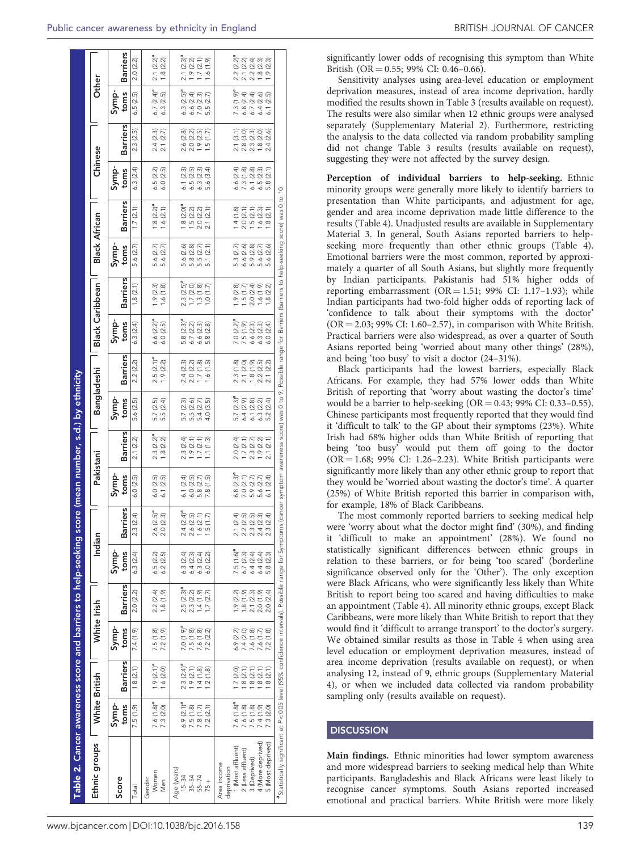<span id="page-3-0"></span>

| Table 2. Cancer awareness score and barriers to help-seeking                                                                                                                                                                |                                      |                                    |                                     |                                      |                                      |                                  |                                         | score (mean number, s.d.) by ethnicity              |                                       |                                    |                                  |                                  |                                     |                                       |                                       |                                  |                                            |                                                  |
|-----------------------------------------------------------------------------------------------------------------------------------------------------------------------------------------------------------------------------|--------------------------------------|------------------------------------|-------------------------------------|--------------------------------------|--------------------------------------|----------------------------------|-----------------------------------------|-----------------------------------------------------|---------------------------------------|------------------------------------|----------------------------------|----------------------------------|-------------------------------------|---------------------------------------|---------------------------------------|----------------------------------|--------------------------------------------|--------------------------------------------------|
| Ethnic groups                                                                                                                                                                                                               | White British                        |                                    | White Irish                         |                                      | Indiar                               |                                  | Pakistani                               |                                                     | <b>Bangladeshi</b>                    |                                    | <b>Black Caribbean</b>           |                                  | <b>Black African</b>                |                                       | Chinese                               |                                  | Other                                      |                                                  |
| Score                                                                                                                                                                                                                       | Symp-<br>toms                        | <b>Barriers</b>                    | Symp-<br>toms                       | <b>Barriers</b>                      | Symp-<br>toms                        | <b>Sarriers</b>                  | Symp-<br>toms                           | <b>Barriers</b>                                     | Symp-<br>toms                         | <b>Barriers</b>                    | Symp-<br>toms                    | <b>Barriers</b>                  | Symp-<br>toms                       | <b>Barriers</b>                       | Symp-<br>toms                         | <b>Barriers</b>                  | Symp-<br>toms                              | <b>Barriers</b>                                  |
| Total                                                                                                                                                                                                                       | 7.5(1.9)                             | 1.8(2.1)                           | 7.4 (1.9)                           | 2.0 (2.2)                            | 6.3(2.4)                             | 2.3(2.4)                         | 6.0(2.5)                                | 2.1(2.2)                                            | 5.6 (2.5)                             | 2.2 (2.2)                          | 6.3(2.4)                         | 1.8(2.1)                         | 5.6 (2.7)                           | 1.7(2.1)                              | 6.3(2.4)                              | 2.3(2.5)                         | .5(2.5)<br>∽                               | 2.0 (2.2)                                        |
| Women<br>Gender<br>Men                                                                                                                                                                                                      | $7.6(1.8)^a$<br>7.3 (2.0)            | $1.9(2.1)^a$<br>1.6(2.0)           | 7.5 (1.8)<br>7.2(1.9)               | 2.2(2.4)<br>(1.8(1.9)                | 6.5(2.2)<br>6.2(2.5)                 | $2.6 (2.5)^a$<br>2.0(2.3)        | 6.1(2.5)<br>6.0(2.5)                    | 2.3 (2.2) <sup>a</sup><br>1.8(2.2)                  | 5.7 (2.5)<br>5.5(2.4)                 | 2.5 (2.1) <sup>a</sup><br>1.9(2.2) | 6.6 $(2.2)^a$<br>6.0(2.5)        | 1.9(2.3)<br>1.6(1.8)             | 5.6 (2.7)<br>5.6 (2.7)              | $1.8 (2.2)^a$<br>1.6(2.1)             | 6.5 (2.2)<br>6.0 (2.5)                | 2.4(2.3)<br>2.1 (2.7)            | 6.7 $(2.4)^a$<br>6.3 (2.5)                 | 2.1 (2.2) <sup>a</sup><br>1.8 (2.2)              |
| Age (years)<br>$15 - 34$                                                                                                                                                                                                    | $6.9 (2.1)a$<br>7.5 (1.8)            | $2.3 (2.4)^a$                      | P(6.1) 0.7                          | 2.5 (2.3) <sup>a</sup>               | 6.3(2.4)                             | $2.4 (2.4)^a$                    | 6.1(2.4)                                | (2.4)<br>$\frac{3}{2}$                              | (2.3)<br>5.7                          |                                    | 5.8 (2.3) <sup>a</sup>           | $2.3 (2.5)^a$                    | 5.6                                 | $1.8 (2.0)^a$                         |                                       |                                  | $6.3 (2.5)^a$                              | $2.1 (2.3)$ <sup>a</sup>                         |
| $35 - 54$                                                                                                                                                                                                                   |                                      | 1.9(2.1)                           | 7.5(1.8)                            | 2.3(2.2)                             | 6.4(2.3)                             | 2.6(2.5)                         | 6.0(2.5)                                | 1.9(2.1)                                            | 5.5(2.6)                              | 2.4 (2.3)<br>2.0 (2.2)             | 6.7(2.2)                         | $1.7(2.0)$<br>$1.3(1.8)$         | ල ග<br>ල ග<br>5.8                   |                                       | $6.1(2.3)$<br>$6.5(2.5)$              | 2.6 (2.8)<br>2.0 (2.2)           | 6.6 (2.4)                                  | $1.9$ (2.2)<br>$1.7$ (2.1)                       |
| $55 - 74$<br>$75 +$                                                                                                                                                                                                         | (2.1)<br>7.8(1.7)<br>7.2             | 1.4(1.8)<br>1.2(1.8)               | 7.6 (1.8)<br>7.2(2.2)               | (1.4(1.9)<br>(2.7)<br>$\overline{1}$ | 6.3(2.4)<br>6.0 (2.2)                | 1.6(2.1)<br>1.5(1.7)             | 5.8 (2.7)<br>.8(1.5)                    | 1.7(2.1)<br>1.1(1.3)                                | 5.4(2.7)<br>4.0 (3.5)                 | 1.7(1.8)<br>1.6(1.5)               | 6.6 (2.3)<br>.8(2.8)             | 1.0(1.7)                         | 5.5(2.7)<br>5.1(2.1)                | $1.5$ (2.2)<br>2.0 (2.2)<br>2.1 (2.1) | 6.3(2.3)<br>5.6 (3.4)                 | 1.9(2.5)<br>1.5(1.7)             | $7.0 (2.3)$<br>5.5 (2.7)                   | 1.6(1.9)                                         |
| 1 (Most affluent)<br>2 (Less affluent)<br>Area income<br>deprivation                                                                                                                                                        | $7.6(1.8)^a$<br>7.6(1.8)             | .7(2.0)<br>1.8(2.1)                | 6.9(2.2)<br>7.4 (2.0)               | .9(2.2)<br>1.8(1.9)                  | $7.5(1.6)^a$<br>6.7(2.3)             | 2.1(2.4)<br>2.2(2.5)             | $(2.3)$ <sup>a</sup><br>7.0(2.1)<br>6.8 | 2.0(2.4)<br>$1.7(2.1)$<br>2.3 (2.7)                 | 5.7 (2.3) <sup>a</sup><br>6.4(2.9)    | 2.3(1.8)<br>2.1(2.0)               | $7.0 (2.2)^a$<br>7.5(1.9)        | 1.9(2.8)<br>1.5(1.7)             | 5.3 (2.7)<br>6.6(2.6)               | 1.4(1.8)<br>2.0(2.1)                  | 6.6 (2.4)<br>7.3(1.8)                 | 2.1(3.1)<br>2.8(3.0)             | $7.3(1.9)^a$<br>6.8(2.4)                   |                                                  |
| 4 (More deprived)<br>5 (Most deprived)<br>3 (Deprived)                                                                                                                                                                      | 7.5(1.8)<br>7.4 (1.9)<br>(2.0)<br>Ċ. | 1.8(2.1)<br>(2.1)<br>1.8(2.1)<br>œ | 7.6 (1.8)<br>7.6(1.7)<br>(1.8)<br>Ņ | 2.0(1.9)<br>2.0 (2.4)<br>2.1(2.3)    | 6.4(2.4)<br>6.4(2.4)<br>(2.3)<br>5.8 | 2.3(2.5)<br>2.3(2.4)<br>2.4(2.3) | 5.9 (2.7)<br>5.6 (2.7)<br>(2.4)         | (2.2)<br>(2.1)<br>$\frac{6}{1}$<br>$\overline{2.1}$ | 6.1(2.8)<br>6.3 (2.2)<br>(2.4)<br>5.2 | 1.8(1.9)<br>2.2(2.5)<br>2.1(2.2)   | 6.6(2.3)<br>6.3(2.3)<br>6.0(2.4) | 2.0(2.4)<br>1.6(1.9)<br>1.8(2.2) | 5.9 (2.8)<br>5.6 (2.7)<br>5.6 (2.6) | 1.5(2.1)<br>1.6(2.3)<br>(2.1)<br>œ.   | $6.1(2.8)$<br>$6.5(2.3)$<br>5.8 (2.1) | 2.3(2.3)<br>1.8(2.0)<br>2.4(2.6) | $6.7(2.4)$<br>$6.4(2.6)$<br>in<br>6.1(2.1) | ಿ<br>೧.೮ ೧ ೮ ೧ ೮<br>೧ ೮ ೮ ೮ ೮ ೮<br>೧ ೮ ೮ ೮ ೮ ೮ ೮ |
| <sup>a</sup> Statistically significant at P<0.05 level (95% confidence intervals). Possible range for Symptoms (cancer symptom awareness score) was 0 to 9. Possible range for Barriers to help-seeking score) was 0 to 10. |                                      |                                    |                                     |                                      |                                      |                                  |                                         |                                                     |                                       |                                    |                                  |                                  |                                     |                                       |                                       |                                  |                                            |                                                  |

significantly lower odds of recognising this symptom than White British  $(OR = 0.55; 99\% \text{ CI}$ : 0.46-0.66).

Sensitivity analyses using area-level education or employment deprivation measures, instead of area income deprivation, hardly modified the results shown in [Table 3](#page-4-0) (results available on request). The results were also similar when 12 ethnic groups were analysed separately (Supplementary Material 2). Furthermore, restricting the analysis to the data collected via random probability sampling did not change [Table 3](#page-4-0) results (results available on request), suggesting they were not affected by the survey design.

Perception of individual barriers to help-seeking. Ethnic minority groups were generally more likely to identify barriers to presentation than White participants, and adjustment for age, gender and area income deprivation made little difference to the results ([Table 4](#page-4-0)). Unadjusted results are available in Supplementary Material 3. In general, South Asians reported barriers to helpseeking more frequently than other ethnic groups ([Table 4](#page-4-0)). Emotional barriers were the most common, reported by approximately a quarter of all South Asians, but slightly more frequently by Indian participants. Pakistanis had 51% higher odds of reporting embarrassment ( $OR = 1.51$ ; 99% CI: 1.17-1.93); while Indian participants had two-fold higher odds of reporting lack of 'confidence to talk about their symptoms with the doctor'  $(OR = 2.03; 99\% CI: 1.60-2.57)$ , in comparison with White British. Practical barriers were also widespread, as over a quarter of South Asians reported being 'worried about many other things' (28%), and being 'too busy' to visit a doctor (24–31%).

Black participants had the lowest barriers, especially Black Africans. For example, they had 57% lower odds than White British of reporting that 'worry about wasting the doctor's time' would be a barrier to help-seeking  $(OR = 0.43; 99\% \text{ CI: } 0.33-0.55)$ . Chinese participants most frequently reported that they would find it 'difficult to talk' to the GP about their symptoms (23%). White Irish had 68% higher odds than White British of reporting that being 'too busy' would put them off going to the doctor  $(OR = 1.68; 99\% \text{ CI: } 1.26 - 2.23)$ . White British participants were significantly more likely than any other ethnic group to report that they would be 'worried about wasting the doctor's time'. A quarter (25%) of White British reported this barrier in comparison with, for example, 18% of Black Caribbeans.

The most commonly reported barriers to seeking medical help were 'worry about what the doctor might find' (30%), and finding it 'difficult to make an appointment' (28%). We found no statistically significant differences between ethnic groups in relation to these barriers, or for being 'too scared' (borderline significance observed only for the 'Other'). The only exception were Black Africans, who were significantly less likely than White British to report being too scared and having difficulties to make an appointment [\(Table 4](#page-4-0)). All minority ethnic groups, except Black Caribbeans, were more likely than White British to report that they would find it 'difficult to arrange transport' to the doctor's surgery. We obtained similar results as those in [Table 4](#page-4-0) when using area level education or employment deprivation measures, instead of area income deprivation (results available on request), or when analysing 12, instead of 9, ethnic groups (Supplementary Material 4), or when we included data collected via random probability sampling only (results available on request).

# **DISCUSSION**

Main findings. Ethnic minorities had lower symptom awareness and more widespread barriers to seeking medical help than White participants. Bangladeshis and Black Africans were least likely to recognise cancer symptoms. South Asians reported increased emotional and practical barriers. White British were more likely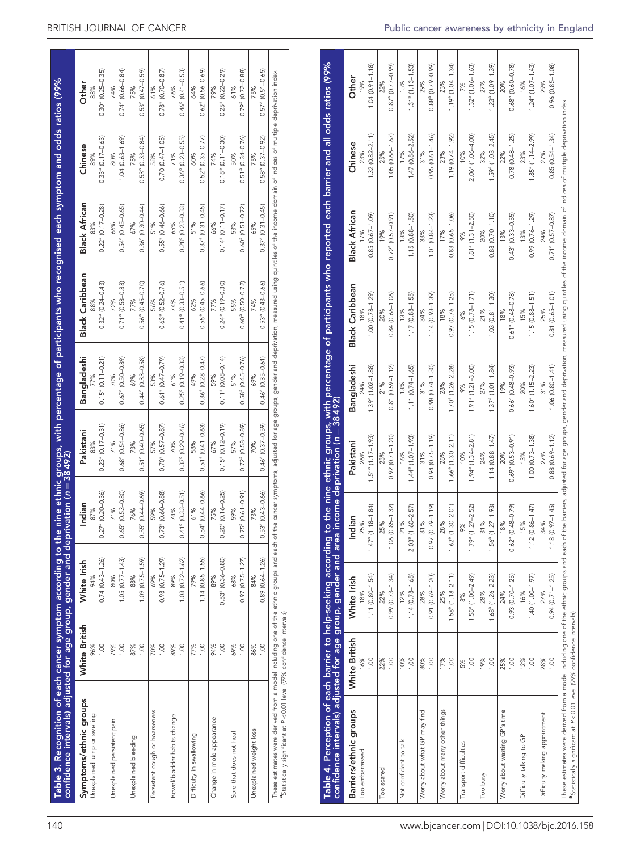<span id="page-4-0"></span>

| Table 3. Recognition of each cancer symptom according to the nine ethnic groups, with percentage of participants who recognised each symptom and odds ratios (99%<br>confidence intervals) adjusted for age group, gender and de                                                                                    |               |                            |                                     |                                     |                                       |                                       |                                     |                                            |                                   |
|---------------------------------------------------------------------------------------------------------------------------------------------------------------------------------------------------------------------------------------------------------------------------------------------------------------------|---------------|----------------------------|-------------------------------------|-------------------------------------|---------------------------------------|---------------------------------------|-------------------------------------|--------------------------------------------|-----------------------------------|
| Symptoms/ethnic groups                                                                                                                                                                                                                                                                                              | White British | White Irish                | Indian                              | Pakistani                           | Bangladeshi                           | <b>Black Caribbean</b>                | <b>Black African</b>                | Chinese                                    | Other                             |
| Unexplained lump or swelling                                                                                                                                                                                                                                                                                        | 1.00<br>96%   | $0.74(0.43 - 1.26)$<br>94% | $0.27a$ (0.20-0.36)<br>87%          | $0.23a$ (0.17-0.31)<br>83%          | $0.15a$ (0.11-0.21)                   | $0.32^{\circ}$ $(0.24 - 0.43)$<br>88% | $0.22^{\circ}$ (0.17-0.28)<br>83%   | $0.33$ <sup>a</sup> $(0.17 - 0.63)$<br>89% | $0.30^{\circ}$ (0.25-0.35)<br>88% |
| Unexplained persistent pain                                                                                                                                                                                                                                                                                         | 0.001         | $1.05(0.77 - 1.43)$        | $0.65^{\circ}$ $(0.53 - 0.80)$      | $0.68$ <sup>a</sup> $(0.54 - 0.86)$ | $0.67$ <sup>a</sup> ( $0.50 - 0.89$ ) | $0.71a$ (0.58-0.88)                   | $0.54^{\circ}$ (0.45-0.65)          | $1.04(0.63 - 1.69)$                        | $0.74^{\circ}$ (0.66-0.84)        |
|                                                                                                                                                                                                                                                                                                                     | 79%           | 80%                        | 71%                                 | 71%                                 | 70%                                   | 72%                                   | 66%                                 | 80%                                        | 74%                               |
| Unexplained bleeding                                                                                                                                                                                                                                                                                                | 87%           | $1.09$ $(0.75 - 1.59)$     | $0.55^{\circ}$ $(0.44 - 0.69)$      | $0.51$ <sup>a</sup> $(0.40 - 0.65)$ | $0.44^{\circ}$ (0.33-0.58)            | $0.56^{\circ}$ (0.45-0.70)            | $0.36^{\circ}$ (0.30-0.44)          | $0.53^{\circ}$ $(0.33 - 0.84)$             | $0.53^{\circ}$ $(0.47 - 0.59)$    |
|                                                                                                                                                                                                                                                                                                                     | 00.1          | 88%                        | 76%                                 | 73%                                 | 99%                                   | 77%                                   | 67%                                 | 75%                                        | 75%                               |
| Persistent cough or hoarseness                                                                                                                                                                                                                                                                                      | 1.00          | $0.98$ $(0.75 - 1.29)$     | $0.73$ <sup>a</sup> $(0.60 - 0.88)$ | $0.70a$ (0.57 - 0.87)               | $0.61a$ (0.47-0.79)                   | $0.63^{\circ}$ $(0.52 - 0.76)$        | $0.55^{\circ}$ (0.46-0.66)          | $0.70(0.47 - 1.05)$                        | $0.78^{\circ}$ (0.70-0.87)        |
|                                                                                                                                                                                                                                                                                                                     | 70%           | 69%                        | 59%                                 | 57%                                 | 53%                                   | 56%                                   | 51%                                 | 58%                                        | 61%                               |
| Bowel/bladder habits change                                                                                                                                                                                                                                                                                         | 00.1          | $1.08$ $(0.72 - 1.62)$     | $0.41$ <sup>a</sup> $(0.33 - 0.51)$ | $0.37^{\circ}$ $(0.29 - 0.46)$      | $0.25^{\circ}$ (0.19-0.33)            | $0.41^{\circ}$ (0.33-0.51)            | $0.28^{\circ}$ (0.23-0.33)          | $0.36^{\circ}$ (0.23-0.55)                 | $0.46^{\circ}$ $(0.41 - 0.53)$    |
|                                                                                                                                                                                                                                                                                                                     | 89%           | 89%                        | 74%                                 | 70%                                 | 61%                                   | 74%                                   | 65%                                 | 71%                                        | 76%                               |
| Difficulty in swallowing                                                                                                                                                                                                                                                                                            | 1.00          | $1.14(0.85 - 1.55)$        | $0.54^{\circ}$ $(0.44 - 0.66)$      | $0.51^{\circ}$ $(0.41 - 0.63)$      | $0.36^{\circ}$ (0.28-0.47)            | $0.55^{\circ}$ $(0.45 - 0.66)$        | $0.37a$ (0.31-0.45)                 | $0.52^{\circ}$ $(0.35 - 0.77)$             | $0.62^{\circ}$ (0.56-0.69)        |
|                                                                                                                                                                                                                                                                                                                     | 77%           | 79%                        | 61%                                 | 58%                                 | 49%                                   | 62%                                   | 51%                                 | 60%                                        | 64%                               |
| Change in mole appearance                                                                                                                                                                                                                                                                                           | 1.00          | $0.53a$ $(0.36 - 0.80)$    | $0.20a$ (0.16-0.25)                 | $0.15a$ (0.12-0.19)                 | $0.11$ <sup>a</sup> $(0.08 - 0.14)$   | $0.24^{\circ}$ (0.19-0.30)            | $0.14^{\circ}$ (0.11-0.17)          | $0.18^{\circ}$ (0.11-0.30)                 | $0.25^{\circ}$ $(0.22 - 0.29)$    |
|                                                                                                                                                                                                                                                                                                                     | 94%           | 89%                        | 75%                                 | 67%                                 | 59%                                   | 77%                                   | 66%                                 | 74%                                        | 79%                               |
| Sore that does not heal                                                                                                                                                                                                                                                                                             | 69%           | $0.97(0.75 - 1.27)$        | $0.75^{\circ}$ (0.61-0.91)          | $0.72a$ (0.58-0.89)                 | $0.58a$ (0.45-0.76)                   | $0.60^{\circ}$ (0.50-0.72)            | $0.60^a (0.51 - 0.72)$              | $0.51^a (0.34 - 0.76)$                     | $0.79^{\circ}$ (0.72-0.88)        |
|                                                                                                                                                                                                                                                                                                                     | 00.1          | 68%                        | 59%                                 | 57%                                 | 51%                                   | 55%                                   | 53%                                 | 50%                                        | 61%                               |
| Unexplained weight loss                                                                                                                                                                                                                                                                                             | 1.00          | $0.89$ $(0.64 - 1.26)$     | $0.53$ <sup>a</sup> $(0.43 - 0.66)$ | $0.46$ <sup>a</sup> $(0.37 - 0.59)$ | $0.46$ <sup>a</sup> $(0.35 - 0.61)$   | $0.53$ <sup>a</sup> $(0.43 - 0.66)$   | $0.37$ <sup>a</sup> $(0.31 - 0.45)$ | $0.58^{\circ}$ $(0.37 - 0.92)$             | $0.57a$ (0.51-0.65)               |
|                                                                                                                                                                                                                                                                                                                     | 86%           | 84%                        | 73%                                 | 70%                                 | 69%                                   | 74%                                   | 65%                                 | 75%                                        | 75%                               |
| These estimates were derived from a model including one of the ethnic groups and each of the cancer symptoms, adjusted for age groups, gender and deprivation, measured using quintiles of the income domain of indices of mul<br><sup>a</sup> Statistically significant at P<0.01 level (99% confidence intervals) |               |                            |                                     |                                     |                                       |                                       |                                     |                                            |                                   |

| confidence intervals) adjusted for age group, gender and area income deprivation (n = 38 492)<br>Table 4. Perception of each barrier to help-seeking according                                                                                                                                                       |               |                                   |                                             |                                          |                                   |                            | to the nine ethnic groups, with percentage of participants who reported each barrier and all odds ratios (99% |                                      |                                        |
|----------------------------------------------------------------------------------------------------------------------------------------------------------------------------------------------------------------------------------------------------------------------------------------------------------------------|---------------|-----------------------------------|---------------------------------------------|------------------------------------------|-----------------------------------|----------------------------|---------------------------------------------------------------------------------------------------------------|--------------------------------------|----------------------------------------|
| Barriers/ethnic groups                                                                                                                                                                                                                                                                                               | White British | White Irish                       | Indian                                      | Pakistani                                | Bangladeshi                       | <b>Black Caribbean</b>     | <b>Black African</b>                                                                                          | Chinese                              | Other                                  |
| Too embarrassed                                                                                                                                                                                                                                                                                                      | 16%<br>0.00   | 1.11 (0.80-1.54)<br>18%           | $(1.18 - 1.84)$<br>25%<br>$1.47^{\rm a}$    | $1.51a$ (1.17-1.93)<br>26%               | $1.39a$ (1.02-1.88)               | $1.00(0.78 - 1.29)$        | $0.85(0.67 - 1.09)$                                                                                           | $1.32(0.82 - 2.11)$                  | $1.04(0.91 - 1.18)$<br>19%             |
| Too scared                                                                                                                                                                                                                                                                                                           | 22%<br>1.00   | $0.99(0.73 - 1.34)$<br>22%        | $(0.85 - 1.32)$<br>25%<br>1.06              | $0.92(0.71 - 1.20)$<br>23%               | $0.81(0.59 - 1.12)$<br>21%        | $0.84(0.66 - 1.06)$<br>20% | $0.72^{\circ}$ (0.57 - 0.91)<br>19%                                                                           | $1.05(0.66 - 1.67)$<br>25%           | $0.87^{\circ}$ (0.77-0.99)<br>22%      |
| Not confident to talk                                                                                                                                                                                                                                                                                                | 10%<br>00.1   | $1.14(0.78 - 1.68)$<br>12%        | $(1.60 - 2.57)$<br>21%<br>2.03 <sup>a</sup> | $1.44^{\circ}$ (1.07-1.93)<br>16%        | $1.11(0.74 - 1.65)$<br>13%        | $1.17(0.88 - 1.55)$<br>13% | $1.15(0.88 - 1.50)$<br>13%                                                                                    | 1.47 (0.86-2.52)<br>17%              | $1.31a$ (1.13-1.53)<br>15%             |
| Worry about what GP may find                                                                                                                                                                                                                                                                                         | 00.1<br>30%   | $0.91(0.69 - 1.20)$<br>28%        | $(0.79 - 1.19)$<br>31%<br>0.97              | $0.94(0.75 - 1.19)$<br>31%               | $0.98(0.74 - 1.30)$<br>31%        | $1.14(0.93 - 1.39)$<br>34% | $1.01(0.84 - 1.23)$<br>33%                                                                                    | $0.95(0.61 - 1.46)$<br>31%           | $0.88a$ (0.79-0.99)<br>29%             |
| Worry about many other things                                                                                                                                                                                                                                                                                        | 17%<br>00.1   | $1.58a$ (1.18-2.11)<br>25%        | $(1.30 - 2.01)$<br>28%<br>$1.62^{a}$        | $1.66$ <sup>a</sup> $(1.30-2.11)$<br>28% | $1.70^{\circ}$ (1.26-2.28)<br>28% | $0.97(0.76 - 1.25)$<br>18% | $0.83(0.65 - 1.06)$<br>17%                                                                                    | $1.19(0.74 - 1.92)$<br>23%           | $1.19a$ (1.04-1.34)<br>23%             |
| Transport difficulties                                                                                                                                                                                                                                                                                               | 1.00<br>5%    | $1.58a$ (1.00-2.49)<br>8%         | $(1.27 - 2.52)$<br>9%<br>1.79 <sup>a</sup>  | $1.94^{\circ}$ (1.34-2.81)<br>10%        | $1.91a$ (1.21-3.00)<br>9%         | $1.15(0.78 - 1.71)$        | $1.81a$ (1.31-2.50)                                                                                           | 2.06 <sup>ª</sup> (1.06-4.00)<br>10% | $1.32^{\circ}$ (1.06-1.63)<br>7%       |
| Too busy                                                                                                                                                                                                                                                                                                             | 19%<br>00.1   | $1.68^{\circ}$ (1.26-2.23)<br>28% | $(1.27 - 1.93)$<br>31%<br>$1.56^{a}$        | $1.14(0.88 - 1.47)$<br>24%               | $1.37a$ (1.01-1.84)<br>27%        | $1.03(0.81 - 1.30)$<br>21% | $0.88(0.70 - 1.10)$                                                                                           | $1.59^{\circ}$ (1.03-2.45)<br>32%    | $1.23a$ (1.09-1.39)<br>27%             |
| Worry about wasting GP's time                                                                                                                                                                                                                                                                                        | 25%<br>001    | $0.93(0.70 - 1.25)$<br>24%        | $(0.48 - 0.79)$<br>18%<br>$0.62^{a}$        | $0.69a$ (0.53-0.91)<br>20%               | $0.66^{\circ}$ (0.48-0.93)<br>19% | $0.61a$ (0.48-0.78)<br>18% | $0.43^{\circ}$ $(0.33 - 0.55)$<br>13%                                                                         | $0.78(0.48 - 1.25)$<br>22%           | $0.683$ (0.60-0.78)<br>20%             |
| Difficulty talking to GP                                                                                                                                                                                                                                                                                             | 12%<br>0.00   | 1.40 (1.00-1.97)<br>16%           | $(0.86 - 1.47)$<br>15%<br>1.12              | $1.00(0.73 - 1.38)$<br>13%               | $1.60a$ (1.15-2.23)<br>20%        | $1.15(0.88 - 1.51)$<br>15% | $0.99(0.76 - 1.29)$<br>13%                                                                                    | $1.85^{\circ}$ (1.14–2.99)<br>23%    | $1.24$ <sup>a</sup> (1.07–1.43)<br>16% |
| Difficulty making appointment                                                                                                                                                                                                                                                                                        | 00.1<br>28%   | $0.94(0.71 - 1.25)$<br>27%        | $(0.97 - 1.45)$<br>34%<br>1.18              | $0.88(0.69 - 1.12)$<br>27%               | $1.06(0.80 - 1.41)$<br>31%        | $0.81(0.65 - 1.01)$<br>25% | $0.71$ <sup>a</sup> $(0.57 - 0.87)$<br>24%                                                                    | $0.85(0.54 - 1.34)$<br>27%           | $0.96(0.85 - 1.08)$<br>29%             |
| These estimates were derived from a model including one of the termic groups and eariers, adjusted for age groups, gender and deprivation, measured using quintiles of the income domain of indices of multiple deprivation in<br><sup>a</sup> Statistically significant at P<0.01 level (99% confidence intervals). |               |                                   |                                             |                                          |                                   |                            |                                                                                                               |                                      |                                        |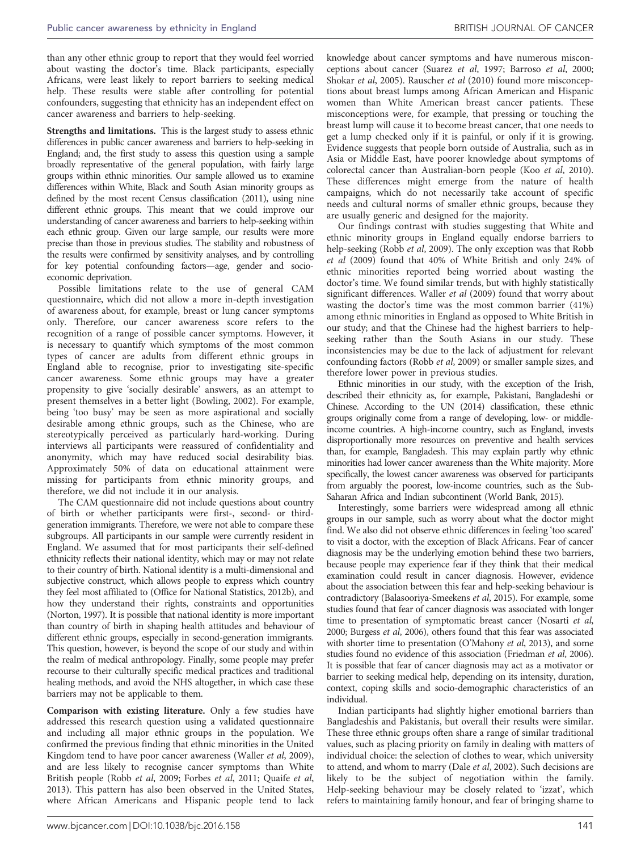than any other ethnic group to report that they would feel worried about wasting the doctor's time. Black participants, especially Africans, were least likely to report barriers to seeking medical help. These results were stable after controlling for potential confounders, suggesting that ethnicity has an independent effect on cancer awareness and barriers to help-seeking.

Strengths and limitations. This is the largest study to assess ethnic differences in public cancer awareness and barriers to help-seeking in England; and, the first study to assess this question using a sample broadly representative of the general population, with fairly large groups within ethnic minorities. Our sample allowed us to examine differences within White, Black and South Asian minority groups as defined by the most recent Census classification (2011), using nine different ethnic groups. This meant that we could improve our understanding of cancer awareness and barriers to help-seeking within each ethnic group. Given our large sample, our results were more precise than those in previous studies. The stability and robustness of the results were confirmed by sensitivity analyses, and by controlling for key potential confounding factors—age, gender and socioeconomic deprivation.

Possible limitations relate to the use of general CAM questionnaire, which did not allow a more in-depth investigation of awareness about, for example, breast or lung cancer symptoms only. Therefore, our cancer awareness score refers to the recognition of a range of possible cancer symptoms. However, it is necessary to quantify which symptoms of the most common types of cancer are adults from different ethnic groups in England able to recognise, prior to investigating site-specific cancer awareness. Some ethnic groups may have a greater propensity to give 'socially desirable' answers, as an attempt to present themselves in a better light ([Bowling, 2002\)](#page-7-0). For example, being 'too busy' may be seen as more aspirational and socially desirable among ethnic groups, such as the Chinese, who are stereotypically perceived as particularly hard-working. During interviews all participants were reassured of confidentiality and anonymity, which may have reduced social desirability bias. Approximately 50% of data on educational attainment were missing for participants from ethnic minority groups, and therefore, we did not include it in our analysis.

The CAM questionnaire did not include questions about country of birth or whether participants were first-, second- or thirdgeneration immigrants. Therefore, we were not able to compare these subgroups. All participants in our sample were currently resident in England. We assumed that for most participants their self-defined ethnicity reflects their national identity, which may or may not relate to their country of birth. National identity is a multi-dimensional and subjective construct, which allows people to express which country they feel most affiliated to ([Office for National Statistics, 2012b](#page-7-0)), and how they understand their rights, constraints and opportunities ([Norton, 1997\)](#page-7-0). It is possible that national identity is more important than country of birth in shaping health attitudes and behaviour of different ethnic groups, especially in second-generation immigrants. This question, however, is beyond the scope of our study and within the realm of medical anthropology. Finally, some people may prefer recourse to their culturally specific medical practices and traditional healing methods, and avoid the NHS altogether, in which case these barriers may not be applicable to them.

Comparison with existing literature. Only a few studies have addressed this research question using a validated questionnaire and including all major ethnic groups in the population. We confirmed the previous finding that ethnic minorities in the United Kingdom tend to have poor cancer awareness [\(Waller](#page-8-0) et al, 2009), and are less likely to recognise cancer symptoms than White British people (Robb et al[, 2009; Forbes](#page-7-0) et al, 2011; [Quaife](#page-7-0) et al, [2013](#page-7-0)). This pattern has also been observed in the United States, where African Americans and Hispanic people tend to lack knowledge about cancer symptoms and have numerous misconceptions about cancer [\(Suarez](#page-8-0) et al, 1997; [Barroso](#page-7-0) et al, 2000; [Shokar](#page-7-0) et al, 2005). [Rauscher](#page-7-0) et al (2010) found more misconceptions about breast lumps among African American and Hispanic women than White American breast cancer patients. These misconceptions were, for example, that pressing or touching the breast lump will cause it to become breast cancer, that one needs to get a lump checked only if it is painful, or only if it is growing. Evidence suggests that people born outside of Australia, such as in Asia or Middle East, have poorer knowledge about symptoms of colorectal cancer than Australian-born people (Koo et al[, 2010](#page-7-0)). These differences might emerge from the nature of health campaigns, which do not necessarily take account of specific needs and cultural norms of smaller ethnic groups, because they are usually generic and designed for the majority.

Our findings contrast with studies suggesting that White and ethnic minority groups in England equally endorse barriers to help-seeking (Robb *et al*[, 2009](#page-7-0)). The only exception was that [Robb](#page-7-0) et al [\(2009\)](#page-7-0) found that 40% of White British and only 24% of ethnic minorities reported being worried about wasting the doctor's time. We found similar trends, but with highly statistically significant differences. [Waller](#page-8-0) et al (2009) found that worry about wasting the doctor's time was the most common barrier (41%) among ethnic minorities in England as opposed to White British in our study; and that the Chinese had the highest barriers to helpseeking rather than the South Asians in our study. These inconsistencies may be due to the lack of adjustment for relevant confounding factors (Robb et al[, 2009](#page-7-0)) or smaller sample sizes, and therefore lower power in previous studies.

Ethnic minorities in our study, with the exception of the Irish, described their ethnicity as, for example, Pakistani, Bangladeshi or Chinese. According to the [UN \(2014\)](#page-8-0) classification, these ethnic groups originally come from a range of developing, low- or middleincome countries. A high-income country, such as England, invests disproportionally more resources on preventive and health services than, for example, Bangladesh. This may explain partly why ethnic minorities had lower cancer awareness than the White majority. More specifically, the lowest cancer awareness was observed for participants from arguably the poorest, low-income countries, such as the Sub-Saharan Africa and Indian subcontinent [\(World Bank, 2015](#page-8-0)).

Interestingly, some barriers were widespread among all ethnic groups in our sample, such as worry about what the doctor might find. We also did not observe ethnic differences in feeling 'too scared' to visit a doctor, with the exception of Black Africans. Fear of cancer diagnosis may be the underlying emotion behind these two barriers, because people may experience fear if they think that their medical examination could result in cancer diagnosis. However, evidence about the association between this fear and help-seeking behaviour is contradictory [\(Balasooriya-Smeekens](#page-7-0) et al, 2015). For example, some studies found that fear of cancer diagnosis was associated with longer time to presentation of symptomatic breast cancer [\(Nosarti](#page-7-0) et al, [2000; Burgess](#page-7-0) et al, 2006), others found that this fear was associated with shorter time to presentation ([O'Mahony](#page-7-0) et al, 2013), and some studies found no evidence of this association ([Friedman](#page-7-0) *et al*, 2006). It is possible that fear of cancer diagnosis may act as a motivator or barrier to seeking medical help, depending on its intensity, duration, context, coping skills and socio-demographic characteristics of an individual.

Indian participants had slightly higher emotional barriers than Bangladeshis and Pakistanis, but overall their results were similar. These three ethnic groups often share a range of similar traditional values, such as placing priority on family in dealing with matters of individual choice: the selection of clothes to wear, which university to attend, and whom to marry (Dale et al[, 2002\)](#page-7-0). Such decisions are likely to be the subject of negotiation within the family. Help-seeking behaviour may be closely related to 'izzat', which refers to maintaining family honour, and fear of bringing shame to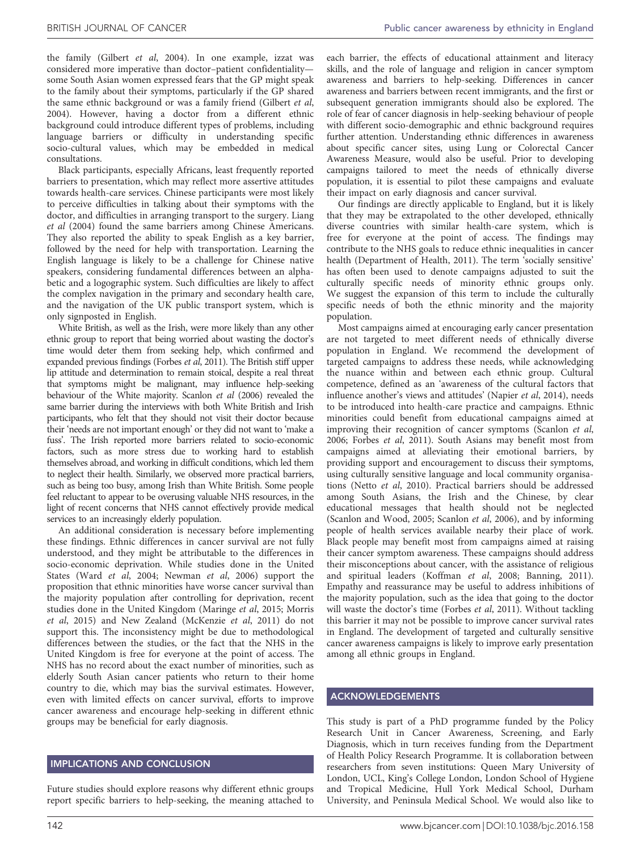each barrier, the effects of educational attainment and literacy skills, and the role of language and religion in cancer symptom

the family (Gilbert et al[, 2004\)](#page-7-0). In one example, izzat was considered more imperative than doctor–patient confidentiality some South Asian women expressed fears that the GP might speak to the family about their symptoms, particularly if the GP shared the same ethnic background or was a family friend [\(Gilbert](#page-7-0) et al, [2004](#page-7-0)). However, having a doctor from a different ethnic background could introduce different types of problems, including language barriers or difficulty in understanding specific socio-cultural values, which may be embedded in medical consultations.

Black participants, especially Africans, least frequently reported barriers to presentation, which may reflect more assertive attitudes towards health-care services. Chinese participants were most likely to perceive difficulties in talking about their symptoms with the doctor, and difficulties in arranging transport to the surgery. [Liang](#page-7-0) et al [\(2004\)](#page-7-0) found the same barriers among Chinese Americans. They also reported the ability to speak English as a key barrier, followed by the need for help with transportation. Learning the English language is likely to be a challenge for Chinese native speakers, considering fundamental differences between an alphabetic and a logographic system. Such difficulties are likely to affect the complex navigation in the primary and secondary health care, and the navigation of the UK public transport system, which is only signposted in English.

White British, as well as the Irish, were more likely than any other ethnic group to report that being worried about wasting the doctor's time would deter them from seeking help, which confirmed and expanded previous findings [\(Forbes](#page-7-0) et al, 2011). The British stiff upper lip attitude and determination to remain stoical, despite a real threat that symptoms might be malignant, may influence help-seeking behaviour of the White majority. [Scanlon](#page-7-0) et al (2006) revealed the same barrier during the interviews with both White British and Irish participants, who felt that they should not visit their doctor because their 'needs are not important enough' or they did not want to 'make a fuss'. The Irish reported more barriers related to socio-economic factors, such as more stress due to working hard to establish themselves abroad, and working in difficult conditions, which led them to neglect their health. Similarly, we observed more practical barriers, such as being too busy, among Irish than White British. Some people feel reluctant to appear to be overusing valuable NHS resources, in the light of recent concerns that NHS cannot effectively provide medical services to an increasingly elderly population.

An additional consideration is necessary before implementing these findings. Ethnic differences in cancer survival are not fully understood, and they might be attributable to the differences in socio-economic deprivation. While studies done in the United States (Ward et al[, 2004](#page-8-0); [Newman](#page-7-0) et al, 2006) support the proposition that ethnic minorities have worse cancer survival than the majority population after controlling for deprivation, recent studies done in the United Kingdom [\(Maringe](#page-7-0) et al, 2015; [Morris](#page-7-0) et al[, 2015](#page-7-0)) and New Zealand [\(McKenzie](#page-7-0) et al, 2011) do not support this. The inconsistency might be due to methodological differences between the studies, or the fact that the NHS in the United Kingdom is free for everyone at the point of access. The NHS has no record about the exact number of minorities, such as elderly South Asian cancer patients who return to their home country to die, which may bias the survival estimates. However, even with limited effects on cancer survival, efforts to improve cancer awareness and encourage help-seeking in different ethnic groups may be beneficial for early diagnosis.

#### IMPLICATIONS AND CONCLUSION

Future studies should explore reasons why different ethnic groups report specific barriers to help-seeking, the meaning attached to

awareness and barriers to help-seeking. Differences in cancer awareness and barriers between recent immigrants, and the first or subsequent generation immigrants should also be explored. The role of fear of cancer diagnosis in help-seeking behaviour of people with different socio-demographic and ethnic background requires further attention. Understanding ethnic differences in awareness about specific cancer sites, using Lung or Colorectal Cancer Awareness Measure, would also be useful. Prior to developing campaigns tailored to meet the needs of ethnically diverse population, it is essential to pilot these campaigns and evaluate their impact on early diagnosis and cancer survival. Our findings are directly applicable to England, but it is likely

that they may be extrapolated to the other developed, ethnically diverse countries with similar health-care system, which is free for everyone at the point of access. The findings may contribute to the NHS goals to reduce ethnic inequalities in cancer health ([Department of Health, 2011](#page-7-0)). The term 'socially sensitive' has often been used to denote campaigns adjusted to suit the culturally specific needs of minority ethnic groups only. We suggest the expansion of this term to include the culturally specific needs of both the ethnic minority and the majority population.

Most campaigns aimed at encouraging early cancer presentation are not targeted to meet different needs of ethnically diverse population in England. We recommend the development of targeted campaigns to address these needs, while acknowledging the nuance within and between each ethnic group. Cultural competence, defined as an 'awareness of the cultural factors that influence another's views and attitudes' [\(Napier](#page-7-0) et al, 2014), needs to be introduced into health-care practice and campaigns. Ethnic minorities could benefit from educational campaigns aimed at improving their recognition of cancer symptoms [\(Scanlon](#page-7-0) et al, [2006](#page-7-0); [Forbes](#page-7-0) et al, 2011). South Asians may benefit most from campaigns aimed at alleviating their emotional barriers, by providing support and encouragement to discuss their symptoms, using culturally sensitive language and local community organisations (Netto et al[, 2010\)](#page-7-0). Practical barriers should be addressed among South Asians, the Irish and the Chinese, by clear educational messages that health should not be neglected ([Scanlon and Wood, 2005; Scanlon](#page-7-0) et al, 2006), and by informing people of health services available nearby their place of work. Black people may benefit most from campaigns aimed at raising their cancer symptom awareness. These campaigns should address their misconceptions about cancer, with the assistance of religious and spiritual leaders ([Koffman](#page-7-0) et al, 2008; [Banning, 2011](#page-7-0)). Empathy and reassurance may be useful to address inhibitions of the majority population, such as the idea that going to the doctor will waste the doctor's time [\(Forbes](#page-7-0) et al, 2011). Without tackling this barrier it may not be possible to improve cancer survival rates in England. The development of targeted and culturally sensitive cancer awareness campaigns is likely to improve early presentation among all ethnic groups in England.

#### ACKNOWLEDGEMENTS

This study is part of a PhD programme funded by the Policy Research Unit in Cancer Awareness, Screening, and Early Diagnosis, which in turn receives funding from the Department of Health Policy Research Programme. It is collaboration between researchers from seven institutions: Queen Mary University of London, UCL, King's College London, London School of Hygiene and Tropical Medicine, Hull York Medical School, Durham University, and Peninsula Medical School. We would also like to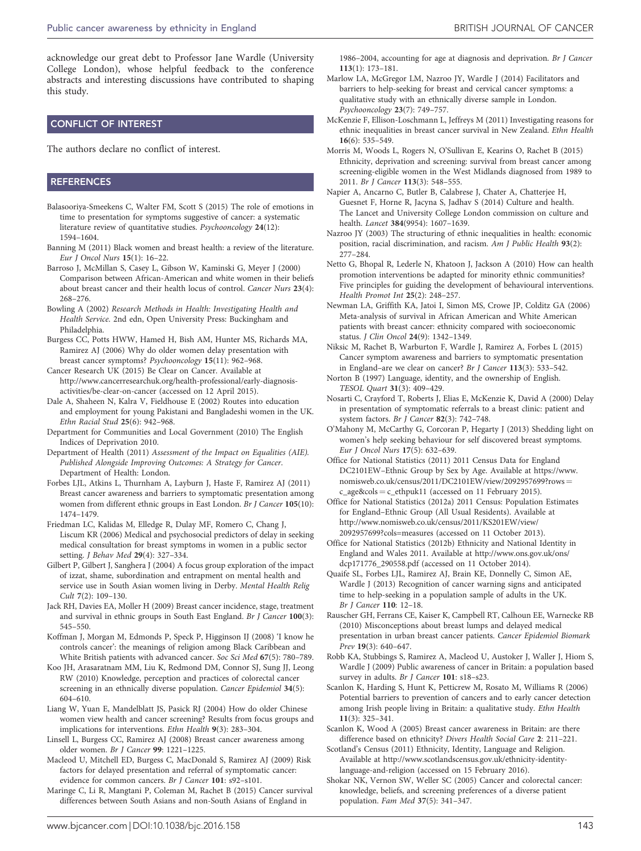<span id="page-7-0"></span>acknowledge our great debt to Professor Jane Wardle (University College London), whose helpful feedback to the conference abstracts and interesting discussions have contributed to shaping this study.

#### CONFLICT OF INTEREST

The authors declare no conflict of interest.

#### **REFERENCES**

- Balasooriya-Smeekens C, Walter FM, Scott S (2015) The role of emotions in time to presentation for symptoms suggestive of cancer: a systematic literature review of quantitative studies. Psychooncology 24(12): 1594–1604.
- Banning M (2011) Black women and breast health: a review of the literature. Eur J Oncol Nurs 15(1): 16–22.
- Barroso J, McMillan S, Casey L, Gibson W, Kaminski G, Meyer J (2000) Comparison between African-American and white women in their beliefs about breast cancer and their health locus of control. Cancer Nurs 23(4): 268–276.
- Bowling A (2002) Research Methods in Health: Investigating Health and Health Service. 2nd edn, Open University Press: Buckingham and Philadelphia.
- Burgess CC, Potts HWW, Hamed H, Bish AM, Hunter MS, Richards MA, Ramirez AJ (2006) Why do older women delay presentation with breast cancer symptoms? Psychooncology 15(11): 962–968.
- Cancer Research UK (2015) Be Clear on Cancer. Available at [http://www.cancerresearchuk.org/health-professional/early-diagnosis](http://www.cancerresearchuk.org/health-professional/early-diagnosis-activities/be-clear-on-cancer)[activities/be-clear-on-cancer](http://www.cancerresearchuk.org/health-professional/early-diagnosis-activities/be-clear-on-cancer) (accessed on 12 April 2015).
- Dale A, Shaheen N, Kalra V, Fieldhouse E (2002) Routes into education and employment for young Pakistani and Bangladeshi women in the UK. Ethn Racial Stud 25(6): 942–968.
- Department for Communities and Local Government (2010) The English Indices of Deprivation 2010.
- Department of Health (2011) Assessment of the Impact on Equalities (AIE). Published Alongside Improving Outcomes: A Strategy for Cancer. Department of Health: London.
- Forbes LJL, Atkins L, Thurnham A, Layburn J, Haste F, Ramirez AJ (2011) Breast cancer awareness and barriers to symptomatic presentation among women from different ethnic groups in East London. Br J Cancer 105(10): 1474–1479.
- Friedman LC, Kalidas M, Elledge R, Dulay MF, Romero C, Chang J, Liscum KR (2006) Medical and psychosocial predictors of delay in seeking medical consultation for breast symptoms in women in a public sector setting. J Behav Med 29(4): 327–334.
- Gilbert P, Gilbert J, Sanghera J (2004) A focus group exploration of the impact of izzat, shame, subordination and entrapment on mental health and service use in South Asian women living in Derby. Mental Health Relig Cult 7(2): 109–130.
- Jack RH, Davies EA, Moller H (2009) Breast cancer incidence, stage, treatment and survival in ethnic groups in South East England. Br J Cancer 100(3): 545–550.
- Koffman J, Morgan M, Edmonds P, Speck P, Higginson IJ (2008) 'I know he controls cancer': the meanings of religion among Black Caribbean and White British patients with advanced cancer. Soc Sci Med 67(5): 780–789.
- Koo JH, Arasaratnam MM, Liu K, Redmond DM, Connor SJ, Sung JJ, Leong RW (2010) Knowledge, perception and practices of colorectal cancer screening in an ethnically diverse population. Cancer Epidemiol 34(5): 604–610.
- Liang W, Yuan E, Mandelblatt JS, Pasick RJ (2004) How do older Chinese women view health and cancer screening? Results from focus groups and implications for interventions. Ethn Health 9(3): 283–304.
- Linsell L, Burgess CC, Ramirez AJ (2008) Breast cancer awareness among older women. Br J Cancer 99: 1221–1225.
- Macleod U, Mitchell ED, Burgess C, MacDonald S, Ramirez AJ (2009) Risk factors for delayed presentation and referral of symptomatic cancer: evidence for common cancers. Br J Cancer 101: s92–s101.
- Maringe C, Li R, Mangtani P, Coleman M, Rachet B (2015) Cancer survival differences between South Asians and non-South Asians of England in

1986–2004, accounting for age at diagnosis and deprivation. Br J Cancer 113(1): 173–181.

- Marlow LA, McGregor LM, Nazroo JY, Wardle J (2014) Facilitators and barriers to help-seeking for breast and cervical cancer symptoms: a qualitative study with an ethnically diverse sample in London. Psychooncology 23(7): 749–757.
- McKenzie F, Ellison-Loschmann L, Jeffreys M (2011) Investigating reasons for ethnic inequalities in breast cancer survival in New Zealand. Ethn Health 16(6): 535–549.
- Morris M, Woods L, Rogers N, O'Sullivan E, Kearins O, Rachet B (2015) Ethnicity, deprivation and screening: survival from breast cancer among screening-eligible women in the West Midlands diagnosed from 1989 to 2011. Br J Cancer 113(3): 548–555.

Napier A, Ancarno C, Butler B, Calabrese J, Chater A, Chatterjee H, Guesnet F, Horne R, Jacyna S, Jadhav S (2014) Culture and health. The Lancet and University College London commission on culture and health. Lancet 384(9954): 1607–1639.

- Nazroo JY (2003) The structuring of ethnic inequalities in health: economic position, racial discrimination, and racism. Am J Public Health 93(2): 277–284.
- Netto G, Bhopal R, Lederle N, Khatoon J, Jackson A (2010) How can health promotion interventions be adapted for minority ethnic communities? Five principles for guiding the development of behavioural interventions. Health Promot Int 25(2): 248–257.
- Newman LA, Griffith KA, Jatoi I, Simon MS, Crowe JP, Colditz GA (2006) Meta-analysis of survival in African American and White American patients with breast cancer: ethnicity compared with socioeconomic status. J Clin Oncol 24(9): 1342–1349.
- Niksic M, Rachet B, Warburton F, Wardle J, Ramirez A, Forbes L (2015) Cancer symptom awareness and barriers to symptomatic presentation in England–are we clear on cancer? Br J Cancer 113(3): 533–542.
- Norton B (1997) Language, identity, and the ownership of English. TESOL Quart 31(3): 409–429.
- Nosarti C, Crayford T, Roberts J, Elias E, McKenzie K, David A (2000) Delay in presentation of symptomatic referrals to a breast clinic: patient and system factors. Br J Cancer 82(3): 742–748.
- O'Mahony M, McCarthy G, Corcoran P, Hegarty J (2013) Shedding light on women's help seeking behaviour for self discovered breast symptoms. Eur J Oncol Nurs 17(5): 632–639.

Office for National Statistics (2011) 2011 Census Data for England DC2101EW–Ethnic Group by Sex by Age. Available at https://www. nomisweb.co.uk/census/2011/DC2101EW/view/2092957699?rows ¼  $c_a$ ge&cols =  $c_e$ ethpuk11 (accessed on 11 February 2015).

Office for National Statistics (2012a) 2011 Census: Population Estimates for England–Ethnic Group (All Usual Residents). Available at [http://www.nomisweb.co.uk/census/2011/KS201EW/view/](http://www.nomisweb.co.uk/census/2011/KS201EW/view/2092957699?cols=measures) [2092957699?cols=measures](http://www.nomisweb.co.uk/census/2011/KS201EW/view/2092957699?cols=measures) (accessed on 11 October 2013).

Office for National Statistics (2012b) Ethnicity and National Identity in England and Wales 2011. Available at [http://www.ons.gov.uk/ons/](http://www.ons.gov.uk/ons/dcp171776_290558.pdf) [dcp171776\\_290558.pdf](http://www.ons.gov.uk/ons/dcp171776_290558.pdf) (accessed on 11 October 2014).

- Quaife SL, Forbes LJL, Ramirez AJ, Brain KE, Donnelly C, Simon AE, Wardle J (2013) Recognition of cancer warning signs and anticipated time to help-seeking in a population sample of adults in the UK. Br J Cancer 110: 12–18.
- Rauscher GH, Ferrans CE, Kaiser K, Campbell RT, Calhoun EE, Warnecke RB (2010) Misconceptions about breast lumps and delayed medical presentation in urban breast cancer patients. Cancer Epidemiol Biomark Prev 19(3): 640-647.
- Robb KA, Stubbings S, Ramirez A, Macleod U, Austoker J, Waller J, Hiom S, Wardle J (2009) Public awareness of cancer in Britain: a population based survey in adults. Br J Cancer 101: s18-s23.

Scanlon K, Harding S, Hunt K, Petticrew M, Rosato M, Williams R (2006) Potential barriers to prevention of cancers and to early cancer detection among Irish people living in Britain: a qualitative study. Ethn Health 11(3): 325–341.

- Scanlon K, Wood A (2005) Breast cancer awareness in Britain: are there difference based on ethnicity? Divers Health Social Care 2: 211–221.
- Scotland's Census (2011) Ethnicity, Identity, Language and Religion. Available at [http://www.scotlandscensus.gov.uk/ethnicity-identity](http://www.scotlandscensus.gov.uk/ethnicity-identity-language-and-religion)[language-and-religion](http://www.scotlandscensus.gov.uk/ethnicity-identity-language-and-religion) (accessed on 15 February 2016).
- Shokar NK, Vernon SW, Weller SC (2005) Cancer and colorectal cancer: knowledge, beliefs, and screening preferences of a diverse patient population. Fam Med 37(5): 341–347.